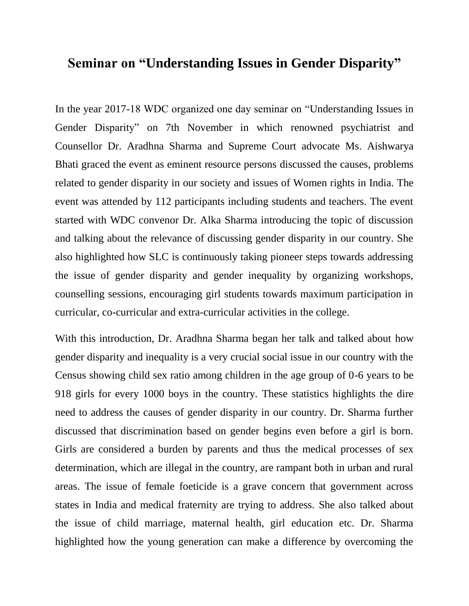## **Seminar on "Understanding Issues in Gender Disparity"**

In the year 2017-18 WDC organized one day seminar on "Understanding Issues in Gender Disparity" on 7th November in which renowned psychiatrist and Counsellor Dr. Aradhna Sharma and Supreme Court advocate Ms. Aishwarya Bhati graced the event as eminent resource persons discussed the causes, problems related to gender disparity in our society and issues of Women rights in India. The event was attended by 112 participants including students and teachers. The event started with WDC convenor Dr. Alka Sharma introducing the topic of discussion and talking about the relevance of discussing gender disparity in our country. She also highlighted how SLC is continuously taking pioneer steps towards addressing the issue of gender disparity and gender inequality by organizing workshops, counselling sessions, encouraging girl students towards maximum participation in curricular, co-curricular and extra-curricular activities in the college.

With this introduction, Dr. Aradhna Sharma began her talk and talked about how gender disparity and inequality is a very crucial social issue in our country with the Census showing child sex ratio among children in the age group of 0-6 years to be 918 girls for every 1000 boys in the country. These statistics highlights the dire need to address the causes of gender disparity in our country. Dr. Sharma further discussed that discrimination based on gender begins even before a girl is born. Girls are considered a burden by parents and thus the medical processes of sex determination, which are illegal in the country, are rampant both in urban and rural areas. The issue of female foeticide is a grave concern that government across states in India and medical fraternity are trying to address. She also talked about the issue of child marriage, maternal health, girl education etc. Dr. Sharma highlighted how the young generation can make a difference by overcoming the